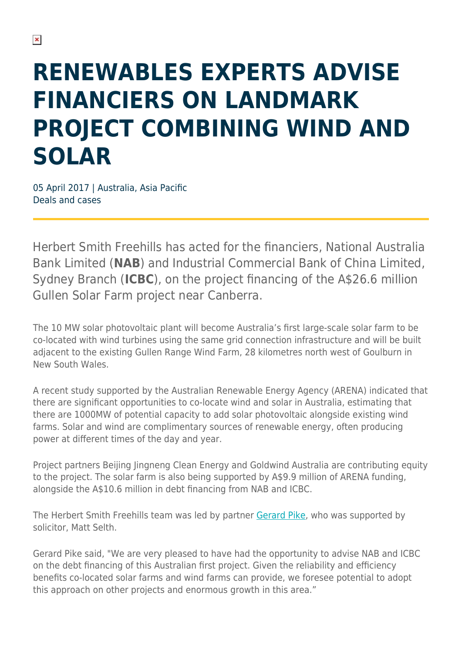## **RENEWABLES EXPERTS ADVISE FINANCIERS ON LANDMARK PROJECT COMBINING WIND AND SOLAR**

05 April 2017 | Australia, Asia Pacific Deals and cases

Herbert Smith Freehills has acted for the financiers, National Australia Bank Limited (**NAB**) and Industrial Commercial Bank of China Limited, Sydney Branch (**ICBC**), on the project financing of the A\$26.6 million Gullen Solar Farm project near Canberra.

The 10 MW solar photovoltaic plant will become Australia's first large-scale solar farm to be co-located with wind turbines using the same grid connection infrastructure and will be built adjacent to the existing Gullen Range Wind Farm, 28 kilometres north west of Goulburn in New South Wales.

A recent study supported by the Australian Renewable Energy Agency (ARENA) indicated that there are significant opportunities to co-locate wind and solar in Australia, estimating that there are 1000MW of potential capacity to add solar photovoltaic alongside existing wind farms. Solar and wind are complimentary sources of renewable energy, often producing power at different times of the day and year.

Project partners Beijing Jingneng Clean Energy and Goldwind Australia are contributing equity to the project. The solar farm is also being supported by A\$9.9 million of ARENA funding, alongside the A\$10.6 million in debt financing from NAB and ICBC.

The Herbert Smith Freehills team was led by partner [Gerard Pike,](https://www.herbertsmithfreehills.com/our-people/gerard-pike) who was supported by solicitor, Matt Selth.

Gerard Pike said, "We are very pleased to have had the opportunity to advise NAB and ICBC on the debt financing of this Australian first project. Given the reliability and efficiency benefits co-located solar farms and wind farms can provide, we foresee potential to adopt this approach on other projects and enormous growth in this area."